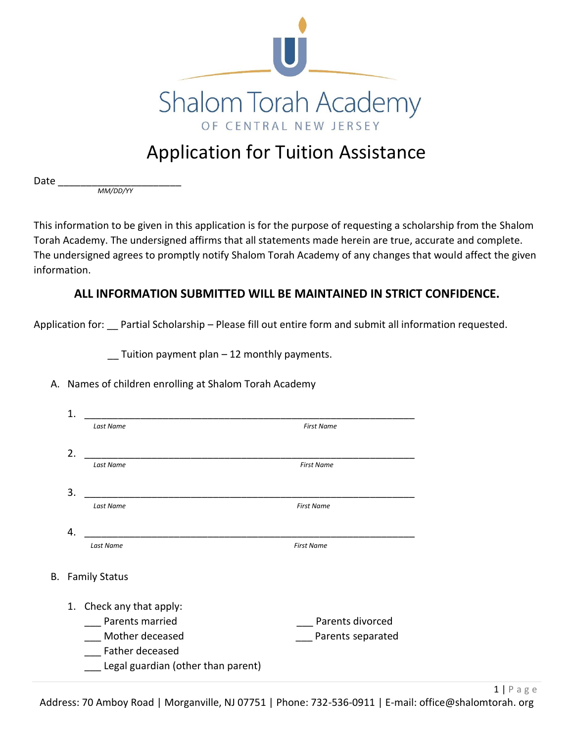

# Application for Tuition Assistance

Date \_\_\_\_\_\_\_\_\_\_\_\_\_\_\_\_\_\_\_\_\_\_

*MM/DD/YY*

This information to be given in this application is for the purpose of requesting a scholarship from the Shalom Torah Academy. The undersigned affirms that all statements made herein are true, accurate and complete. The undersigned agrees to promptly notify Shalom Torah Academy of any changes that would affect the given information.

## **ALL INFORMATION SUBMITTED WILL BE MAINTAINED IN STRICT CONFIDENCE.**

Application for: Partial Scholarship – Please fill out entire form and submit all information requested.

 $\Gamma$  Tuition payment plan – 12 monthly payments.

#### A. Names of children enrolling at Shalom Torah Academy

| 1. |                                    |                   |
|----|------------------------------------|-------------------|
|    | Last Name                          | <b>First Name</b> |
|    |                                    |                   |
| 2. | Last Name                          | <b>First Name</b> |
| 3. |                                    |                   |
|    | Last Name                          | <b>First Name</b> |
| 4. |                                    |                   |
|    | <b>Last Name</b>                   | <b>First Name</b> |
| В. | <b>Family Status</b>               |                   |
|    | 1. Check any that apply:           |                   |
|    | Parents married                    | Parents divorced  |
|    | Mother deceased                    | Parents separated |
|    | Father deceased                    |                   |
|    | Legal guardian (other than parent) |                   |
|    |                                    |                   |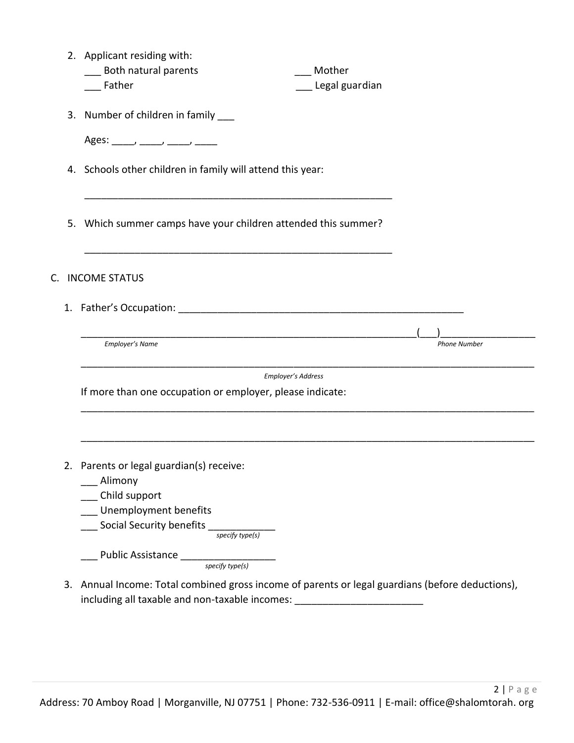| 2. Applicant residing with:<br>___ Both natural parents<br>Mother<br>Father<br>Legal guardian                                                                                                                                                                                                                                                                                                                                                     |
|---------------------------------------------------------------------------------------------------------------------------------------------------------------------------------------------------------------------------------------------------------------------------------------------------------------------------------------------------------------------------------------------------------------------------------------------------|
| 3. Number of children in family ___                                                                                                                                                                                                                                                                                                                                                                                                               |
| Ages: $\frac{1}{\sqrt{1-\frac{1}{2}} \cdot \frac{1}{\sqrt{1-\frac{1}{2}} \cdot \frac{1}{\sqrt{1-\frac{1}{2}} \cdot \frac{1}{\sqrt{1-\frac{1}{2}} \cdot \frac{1}{\sqrt{1-\frac{1}{2}} \cdot \frac{1}{\sqrt{1-\frac{1}{2}} \cdot \frac{1}{\sqrt{1-\frac{1}{2}} \cdot \frac{1}{\sqrt{1-\frac{1}{2}} \cdot \frac{1}{\sqrt{1-\frac{1}{2}} \cdot \frac{1}{\sqrt{1-\frac{1}{2}} \cdot \frac{1}{\sqrt{1-\frac{1}{2}} \cdot \frac{1}{\sqrt{1-\frac{1}{2}}$ |
| 4. Schools other children in family will attend this year:                                                                                                                                                                                                                                                                                                                                                                                        |
| 5. Which summer camps have your children attended this summer?                                                                                                                                                                                                                                                                                                                                                                                    |
| C. INCOME STATUS                                                                                                                                                                                                                                                                                                                                                                                                                                  |
|                                                                                                                                                                                                                                                                                                                                                                                                                                                   |
| Employer's Name<br><b>Phone Number</b>                                                                                                                                                                                                                                                                                                                                                                                                            |
| Employer's Address<br>If more than one occupation or employer, please indicate:                                                                                                                                                                                                                                                                                                                                                                   |
| 2. Parents or legal guardian(s) receive:<br>____ Alimony<br>__ Child support<br>__ Unemployment benefits                                                                                                                                                                                                                                                                                                                                          |
| $\frac{1}{\sqrt{1-\frac{1}{\sqrt{1-\frac{1}{\sqrt{1-\frac{1}{\sqrt{1-\frac{1}{\sqrt{1-\frac{1}{\sqrt{1-\frac{1}{\sqrt{1-\frac{1}{\sqrt{1-\frac{1}{\sqrt{1-\frac{1}{\sqrt{1-\frac{1}{\sqrt{1-\frac{1}{\sqrt{1-\frac{1}{\sqrt{1-\frac{1}{\sqrt{1-\frac{1}{\sqrt{1-\frac{1}{\sqrt{1-\frac{1}{\sqrt{1-\frac{1}{\sqrt{1-\frac{1}{\sqrt{1-\frac{1}{\sqrt{1-\frac{1}{\sqrt{1-\frac{1}{\sqrt{1-\frac{1}{\sqrt{1-\frac{1}{\sqrt{1-\frac{1$                 |
| 3. Annual Income: Total combined gross income of parents or legal guardians (before deductions),<br>including all taxable and non-taxable incomes: _________________________________                                                                                                                                                                                                                                                              |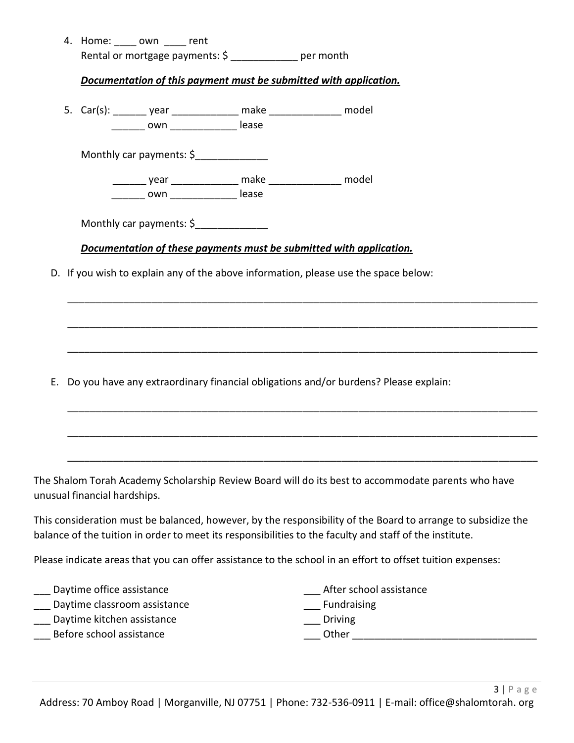|  | 4. Home: _____ own _____ rent        | Rental or mortgage payments: \$ ___________ per month                  |                                                                                                    |
|--|--------------------------------------|------------------------------------------------------------------------|----------------------------------------------------------------------------------------------------|
|  |                                      |                                                                        |                                                                                                    |
|  |                                      | Documentation of this payment must be submitted with application.      |                                                                                                    |
|  |                                      | 5. Car(s): ________ year ________________ make _________________ model |                                                                                                    |
|  | ________ own _________________ lease |                                                                        |                                                                                                    |
|  | Monthly car payments: \$             |                                                                        |                                                                                                    |
|  |                                      | ________ year _______________ make ________________ model              |                                                                                                    |
|  | ________ own ________________ lease  |                                                                        |                                                                                                    |
|  |                                      | Monthly car payments: \$                                               |                                                                                                    |
|  |                                      |                                                                        |                                                                                                    |
|  |                                      |                                                                        | Documentation of these payments must be submitted with application.                                |
|  |                                      |                                                                        |                                                                                                    |
|  |                                      |                                                                        | D. If you wish to explain any of the above information, please use the space below:                |
|  |                                      |                                                                        |                                                                                                    |
|  |                                      |                                                                        |                                                                                                    |
|  |                                      |                                                                        |                                                                                                    |
|  |                                      |                                                                        |                                                                                                    |
|  |                                      |                                                                        | E. Do you have any extraordinary financial obligations and/or burdens? Please explain:             |
|  |                                      |                                                                        |                                                                                                    |
|  |                                      |                                                                        |                                                                                                    |
|  |                                      |                                                                        |                                                                                                    |
|  |                                      |                                                                        | The Shalom Torah Academy Scholarship Review Board will do its best to accommodate parents who have |

This consideration must be balanced, however, by the responsibility of the Board to arrange to subsidize the balance of the tuition in order to meet its responsibilities to the faculty and staff of the institute.

Please indicate areas that you can offer assistance to the school in an effort to offset tuition expenses:

- \_\_\_ Daytime office assistance
- Daytime classroom assistance
- \_\_\_ Daytime kitchen assistance
- \_\_\_ Before school assistance
- After school assistance
- **Fundraising**
- \_\_\_ Driving
- $\rule{1em}{0}$  Other  $\rule{1em}{0.15mm}$